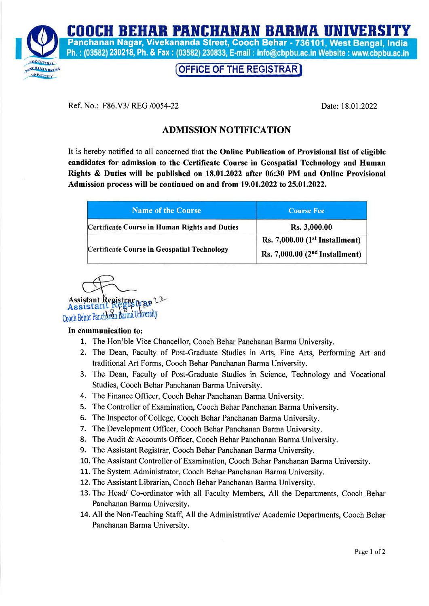COOCH BEHAR PANCHANAN BARMA UNIVERSIT



Panchanan Nagar, Vivekananda Street, Cooch Behar - 736101, West Bengal, India Ph.: (03582) 230218, Ph. & Fax: (03582) 230833, E-mail: info@cbpbu.ac.in Website: www.cbpbu.ac.in

## OFFICE OF THE REGISTRAR

Ref. No.: F86.V3/ REG /0054-22 Date:18.01.2022

## ADMISSION NOTIFICATION

It is hereby notified to all concerned that the Online Publication of Provisional list of eligible candidates for admission to the Certificate Course in Geospatial Technology and Human Rights & Duties will be published on 18.01.2022 after 06:30 PM and Online Provisional Admission process will be continued on and from  $19.01.2022$  to  $25.01.2022$ .

| <b>Name of the Course</b>                            | <b>Course Fee</b>                                                    |
|------------------------------------------------------|----------------------------------------------------------------------|
| <b>Certificate Course in Human Rights and Duties</b> | Rs. 3,000.00                                                         |
| Certificate Course in Geospatial Technology          | Rs. $7,000.00$ (1st Installment)<br>Rs. 7,000.00 $(2nd Instantment)$ |

Assistant Registrart  $B<sub>p</sub>$ Assistan Cooch Behar Panchanan Barma U

## In communication to:

- 7. The Hon'ble Vice Chancellor, Cooch Behar Panchanan Barma University.
- 2. The Dean, Faculty of Post-Graduate Studies in Arts, Fine Arts, Performing Art and traditional Art Forms, Cooch Behar Panchanan Barma University.
- 3. The Dean, Faculty of Post-Graduate Studies in Science, Technology and Vocational Studies, Cooch Behar Panchanan Barma University.
- 4. The Finance Officer, Cooch Behar Panchanan Barma University.
- 5. The Controller of Examination, Cooch Behar Panchanan Barma University.
- 5. The Inspector of College, Cooch Behar Panchanan Barma University.
- 7. The Development Officer, Cooch Behar Panchanan Barma University.
- 8. The Audit & Accounts Officer, Cooch Behar Panchanan Barma University.
- 9. The Assistant Registrar, Cooch Behar Panchanan Barma University.
- 10. The Assistant Controller of Examination, Cooch Behar Panchanan Barma University.
- 11. The System Administrator, Cooch Behar Panchanan Barma University.
- 12. The Assistant Librarian, Cooch Behar Panchanan Barma University.
- 13. The Head/ Co-ordinator with all Faculty Members, All the Departments, Cooch Behar Panchanan Barma University.
- 14. All the Non-Teaching Staff, All the Administrative/Academic Departments, Cooch Behar Panchanan Barma University.